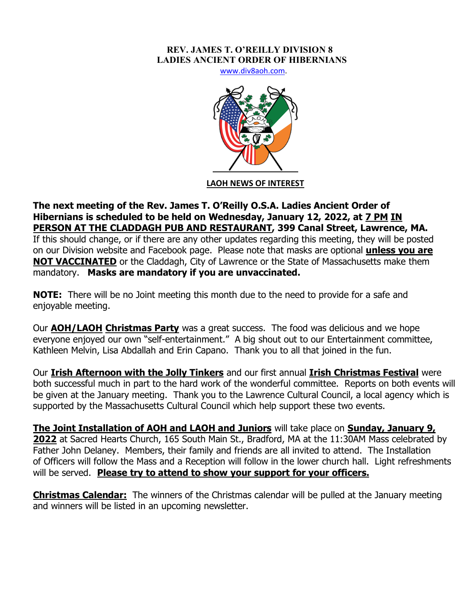## **REV. JAMES T. O'REILLY DIVISION 8 LADIES ANCIENT ORDER OF HIBERNIANS**

www.div8aoh.com.



**LAOH NEWS OF INTEREST**

**The next meeting of the Rev. James T. O'Reilly O.S.A. Ladies Ancient Order of Hibernians is scheduled to be held on Wednesday, January 12, 2022, at 7 PM IN PERSON AT THE CLADDAGH PUB AND RESTAURANT, 399 Canal Street, Lawrence, MA.**  If this should change, or if there are any other updates regarding this meeting, they will be posted on our Division website and Facebook page. Please note that masks are optional **unless you are NOT VACCINATED** or the Claddagh, City of Lawrence or the State of Massachusetts make them mandatory. **Masks are mandatory if you are unvaccinated.**

**NOTE:** There will be no Joint meeting this month due to the need to provide for a safe and enjoyable meeting.

Our **AOH/LAOH Christmas Party** was a great success. The food was delicious and we hope everyone enjoyed our own "self-entertainment." A big shout out to our Entertainment committee, Kathleen Melvin, Lisa Abdallah and Erin Capano. Thank you to all that joined in the fun.

Our **Irish Afternoon with the Jolly Tinkers** and our first annual **Irish Christmas Festival** were both successful much in part to the hard work of the wonderful committee. Reports on both events will be given at the January meeting. Thank you to the Lawrence Cultural Council, a local agency which is supported by the Massachusetts Cultural Council which help support these two events.

**The Joint Installation of AOH and LAOH and Juniors** will take place on **Sunday, January 9, 2022** at Sacred Hearts Church, 165 South Main St., Bradford, MA at the 11:30AM Mass celebrated by Father John Delaney. Members, their family and friends are all invited to attend. The Installation of Officers will follow the Mass and a Reception will follow in the lower church hall. Light refreshments will be served. **Please try to attend to show your support for your officers.**

**Christmas Calendar:** The winners of the Christmas calendar will be pulled at the January meeting and winners will be listed in an upcoming newsletter.